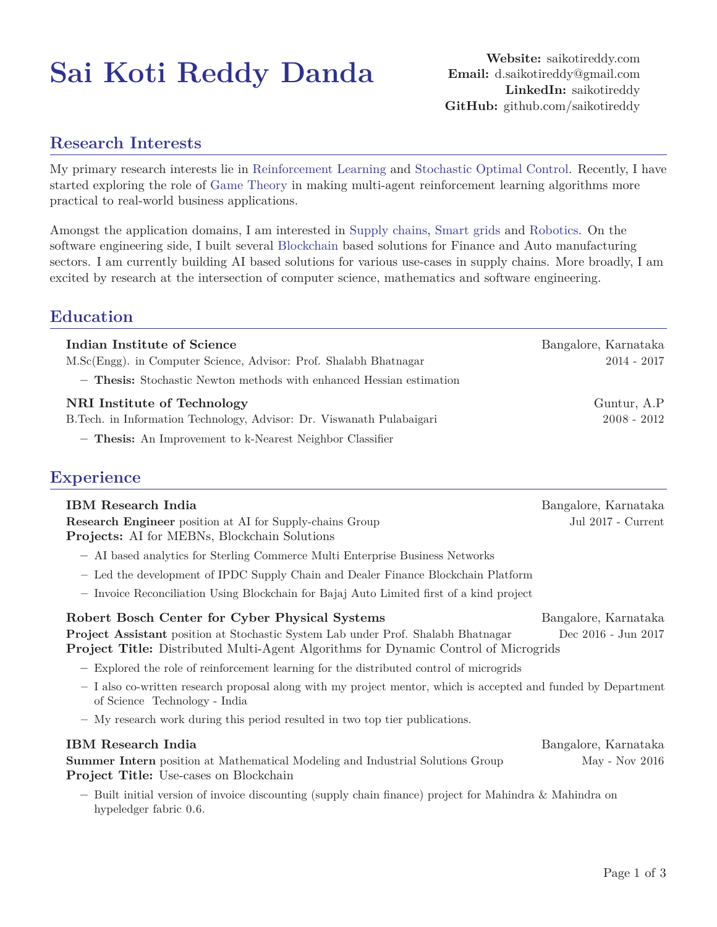# **Sai Koti Reddy Danda Mehail:** d.[saikotireddy.com](https://saikotireddy.com/)

**Email:** [d.saikotireddy@gmail.com](mailto:d.saikotireddy@gmail.com) **LinkedIn:** [saikotireddy](https://www.linkedin.com/in/saikotireddy/) **GitHub:** [github.com/saikotireddy](https://github.com/saikotireddy/)

## **Research Interests**

My primary research interests lie in Reinforcement Learning and Stochastic Optimal Control. Recently, I have started exploring the role of Game Theory in making multi-agent reinforcement learning algorithms more practical to real-world business applications.

Amongst the application domains, I am interested in Supply chains, Smart grids and Robotics. On the software engineering side, I built several Blockchain based solutions for Finance and Auto manufacturing sectors. I am currently building AI based solutions for various use-cases in supply chains. More broadly, I am excited by research at the intersection of computer science, mathematics and software engineering.

### **Education**

| Indian Institute of Science<br>M.Sc(Engg). in Computer Science, Advisor: Prof. Shalabh Bhatnagar                                    | Bangalore, Karnataka<br>$2014 - 2017$ |
|-------------------------------------------------------------------------------------------------------------------------------------|---------------------------------------|
| - Thesis: Stochastic Newton methods with enhanced Hessian estimation<br>NRI Institute of Technology                                 | Guntur, A.P                           |
| B. Tech. in Information Technology, Advisor: Dr. Viswanath Pulabaigari<br>- Thesis: An Improvement to k-Nearest Neighbor Classifier | $2008 - 2012$                         |

## **Experience**

| <b>IBM</b> Research India<br><b>Research Engineer</b> position at AI for Supply-chains Group<br><b>Projects:</b> AI for MEBNs, Blockchain Solutions                                                                                      | Bangalore, Karnataka<br>Jul 2017 - Current  |
|------------------------------------------------------------------------------------------------------------------------------------------------------------------------------------------------------------------------------------------|---------------------------------------------|
| - AI based analytics for Sterling Commerce Multi Enterprise Business Networks                                                                                                                                                            |                                             |
| - Led the development of IPDC Supply Chain and Dealer Finance Blockchain Platform<br>- Invoice Reconciliation Using Blockchain for Bajaj Auto Limited first of a kind project                                                            |                                             |
| Robert Bosch Center for Cyber Physical Systems<br><b>Project Assistant</b> position at Stochastic System Lab under Prof. Shalabh Bhatnagar<br><b>Project Title:</b> Distributed Multi-Agent Algorithms for Dynamic Control of Microgrids | Bangalore, Karnataka<br>Dec 2016 - Jun 2017 |
| - Explored the role of reinforcement learning for the distributed control of microgrids                                                                                                                                                  |                                             |
| - I also co-written research proposal along with my project mentor, which is accepted and funded by Department<br>of Science Technology - India                                                                                          |                                             |
| - My research work during this period resulted in two top tier publications.                                                                                                                                                             |                                             |
| <b>IBM</b> Research India<br>Summer Intern position at Mathematical Modeling and Industrial Solutions Group<br><b>Project Title:</b> Use-cases on Blockchain                                                                             | Bangalore, Karnataka<br>May - Nov $2016$    |
| - Built initial version of invoice discounting (supply chain finance) project for Mahindra & Mahindra on<br>hypeledger fabric 0.6.                                                                                                       |                                             |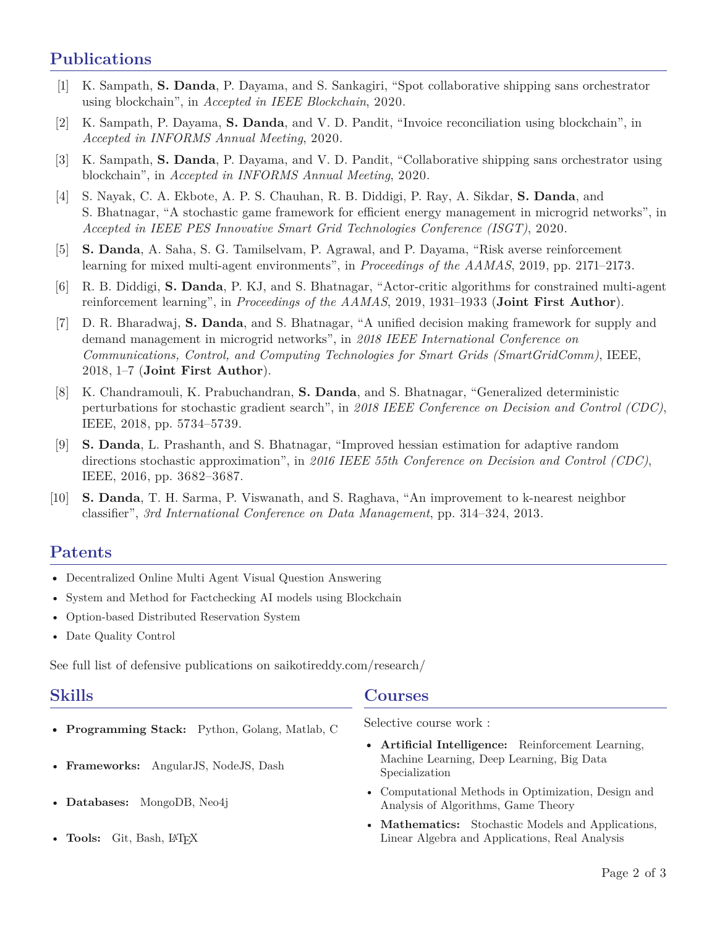## **Publications**

- [1] K. Sampath, **S. Danda**, P. Dayama, and S. Sankagiri, "Spot collaborative shipping sans orchestrator using blockchain", in *Accepted in IEEE Blockchain*, 2020.
- [2] K. Sampath, P. Dayama, **S. Danda**, and V. D. Pandit, "Invoice reconciliation using blockchain", in *Accepted in INFORMS Annual Meeting*, 2020.
- [3] K. Sampath, **S. Danda**, P. Dayama, and V. D. Pandit, "Collaborative shipping sans orchestrator using blockchain", in *Accepted in INFORMS Annual Meeting*, 2020.
- [4] S. Nayak, C. A. Ekbote, A. P. S. Chauhan, R. B. Diddigi, P. Ray, A. Sikdar, **S. Danda**, and S. Bhatnagar, "A stochastic game framework for efficient energy management in microgrid networks", in *Accepted in IEEE PES Innovative Smart Grid Technologies Conference (ISGT)*, 2020.
- [5] **S. Danda**, A. Saha, S. G. Tamilselvam, P. Agrawal, and P. Dayama, "Risk averse reinforcement learning for mixed multi-agent environments", in *Proceedings of the AAMAS*, 2019, pp. 2171–2173.
- [6] R. B. Diddigi, **S. Danda**, P. KJ, and S. Bhatnagar, "Actor-critic algorithms for constrained multi-agent reinforcement learning", in *Proceedings of the AAMAS*, 2019, 1931–1933 (**Joint First Author**).
- [7] D. R. Bharadwaj, **S. Danda**, and S. Bhatnagar, "A unified decision making framework for supply and demand management in microgrid networks", in *2018 IEEE International Conference on Communications, Control, and Computing Technologies for Smart Grids (SmartGridComm)*, IEEE, 2018, 1–7 (**Joint First Author**).
- [8] K. Chandramouli, K. Prabuchandran, **S. Danda**, and S. Bhatnagar, "Generalized deterministic perturbations for stochastic gradient search", in *2018 IEEE Conference on Decision and Control (CDC)*, IEEE, 2018, pp. 5734–5739.
- [9] **S. Danda**, L. Prashanth, and S. Bhatnagar, "Improved hessian estimation for adaptive random directions stochastic approximation", in *2016 IEEE 55th Conference on Decision and Control (CDC)*, IEEE, 2016, pp. 3682–3687.
- [10] **S. Danda**, T. H. Sarma, P. Viswanath, and S. Raghava, "An improvement to k-nearest neighbor classifier", *3rd International Conference on Data Management*, pp. 314–324, 2013.

#### **Patents**

- Decentralized Online Multi Agent Visual Question Answering
- System and Method for Factchecking AI models using Blockchain
- Option-based Distributed Reservation System
- Date Quality Control

See full list of defensive publications on [saikotireddy.com/research/](https://saikotireddy.com/research//)

| <b>Skills</b>                                    | Courses                                                                                                           |
|--------------------------------------------------|-------------------------------------------------------------------------------------------------------------------|
| • Programming Stack: Python, Golang, Matlab, C   | Selective course work:                                                                                            |
| • Frameworks: AngularJS, NodeJS, Dash            | • Artificial Intelligence: Reinforcement Learning,<br>Machine Learning, Deep Learning, Big Data<br>Specialization |
| • Databases: MongoDB, Neo4j                      | • Computational Methods in Optimization, Design and<br>Analysis of Algorithms, Game Theory                        |
| • Tools: $\text{Git}, \text{Bash}, \text{IATFX}$ | • Mathematics: Stochastic Models and Applications,<br>Linear Algebra and Applications, Real Analysis              |